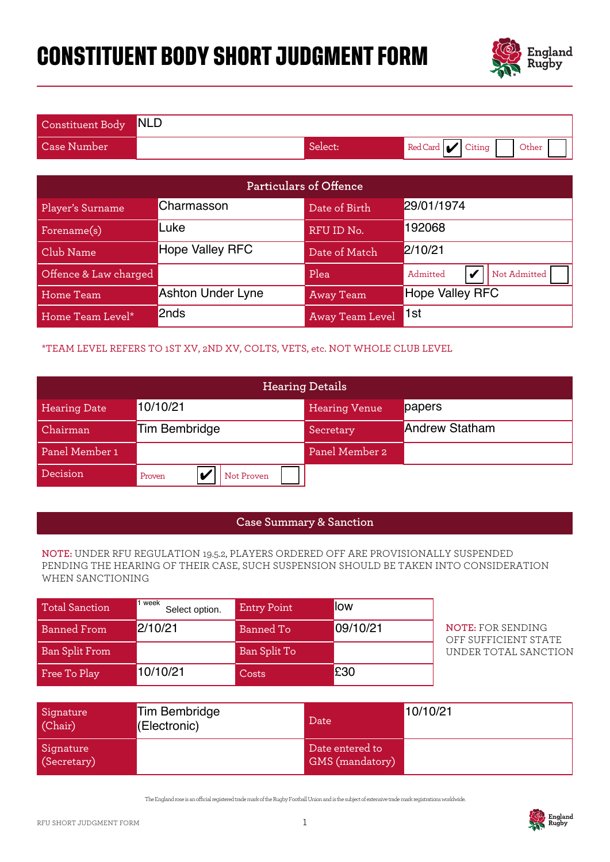# **CONSTITUENT BODY SHORT JUDGMENT FORM**



| Constituent Body NLD |         |                                                        |
|----------------------|---------|--------------------------------------------------------|
| Case Number'         | Select: | $\blacksquare$ Red Card $\blacksquare$ Citing<br>Other |

| <b>Particulars of Offence</b>                                                                                                                                                                   |                                                                              |                    |                                    |                                                  |  |  |
|-------------------------------------------------------------------------------------------------------------------------------------------------------------------------------------------------|------------------------------------------------------------------------------|--------------------|------------------------------------|--------------------------------------------------|--|--|
| Player's Surname                                                                                                                                                                                | Charmasson                                                                   |                    | Date of Birth                      | 29/01/1974                                       |  |  |
| Forename(s)                                                                                                                                                                                     | Luke                                                                         |                    | RFU ID No.                         | 192068                                           |  |  |
| Club Name                                                                                                                                                                                       | <b>Hope Valley RFC</b>                                                       |                    | Date of Match                      | 2/10/21                                          |  |  |
| Offence & Law charged                                                                                                                                                                           |                                                                              |                    | Plea                               | Not Admitted<br>Admitted<br>v                    |  |  |
| Home Team                                                                                                                                                                                       | <b>Ashton Under Lyne</b>                                                     |                    | <b>Away Team</b>                   | <b>Hope Valley RFC</b>                           |  |  |
| Home Team Level*                                                                                                                                                                                | 2nds                                                                         |                    | Away Team Level                    | 1st                                              |  |  |
|                                                                                                                                                                                                 | *TEAM LEVEL REFERS TO 1ST XV, 2ND XV, COLTS, VETS, etc. NOT WHOLE CLUB LEVEL |                    |                                    |                                                  |  |  |
|                                                                                                                                                                                                 |                                                                              |                    | <b>Hearing Details</b>             |                                                  |  |  |
| <b>Hearing Date</b>                                                                                                                                                                             | 10/10/21                                                                     |                    | <b>Hearing Venue</b>               | papers                                           |  |  |
| Chairman                                                                                                                                                                                        | <b>Tim Bembridge</b>                                                         |                    | Secretary                          | <b>Andrew Statham</b>                            |  |  |
| Panel Member 1                                                                                                                                                                                  |                                                                              |                    | Panel Member 2                     |                                                  |  |  |
| Decision                                                                                                                                                                                        | V<br>Not Proven<br>Proven                                                    |                    |                                    |                                                  |  |  |
|                                                                                                                                                                                                 |                                                                              |                    |                                    |                                                  |  |  |
|                                                                                                                                                                                                 |                                                                              |                    | <b>Case Summary &amp; Sanction</b> |                                                  |  |  |
| NOTE: UNDER RFU REGULATION 19.5.2, PLAYERS ORDERED OFF ARE PROVISIONALLY SUSPENDED<br>PENDING THE HEARING OF THEIR CASE, SUCH SUSPENSION SHOULD BE TAKEN INTO CONSIDERATION<br>WHEN SANCTIONING |                                                                              |                    |                                    |                                                  |  |  |
| <b>Total Sanction</b>                                                                                                                                                                           | 1 week<br>Select option.                                                     | <b>Entry Point</b> | low                                |                                                  |  |  |
| <b>Banned From</b>                                                                                                                                                                              | 2/10/21                                                                      | <b>Banned To</b>   | 09/10/21                           | <b>NOTE: FOR SENDING</b><br>OFF SUFFICIENT STATE |  |  |
| <b>Ban Split From</b>                                                                                                                                                                           |                                                                              | Ban Split To       |                                    | UNDER TOTAL SANCTION                             |  |  |
| Free To Play                                                                                                                                                                                    | 10/10/21                                                                     | Costs              | £30                                |                                                  |  |  |

### \*TEAM LEVEL REFERS TO 1ST XV, 2ND XV, COLTS, VETS, etc. NOT WHOLE CLUB LEVEL

| <b>Hearing Details</b> |                      |                      |                       |
|------------------------|----------------------|----------------------|-----------------------|
| <b>Hearing Date</b>    | 10/10/21             | <b>Hearing Venue</b> | papers                |
| Chairman               | Tim Bembridge        | Secretary            | <b>Andrew Statham</b> |
| Panel Member 1         |                      | Panel Member 2       |                       |
| Decision               | Not Proven<br>Proven |                      |                       |

#### **Case Summary & Sanction**

#### **NOTE:** UNDER RFU REGULATION 19.5.2, PLAYERS ORDERED OFF ARE PROVISIONALLY SUSPENDED PENDING THE HEARING OF THEIR CASE, SUCH SUSPENSION SHOULD BE TAKEN INTO CONSIDERATION WHEN SANCTIONING

| Total Sanction        | I week<br>Select option. | <b>Entry Point</b> | <b>llow</b> |
|-----------------------|--------------------------|--------------------|-------------|
| <b>Banned From</b>    | 2/10/21                  | Banned To          | 09/10/21    |
| <b>Ban Split From</b> |                          | Ban Split To       |             |
| Free To Play          | 10/10/21                 | Costs              | £30         |

| Signature<br>(Chair)     | Tim Bembridge<br>(Electronic) | Date                                      | 10/10/21 |
|--------------------------|-------------------------------|-------------------------------------------|----------|
| Signature<br>(Secretary) |                               | Date entered to<br><b>GMS</b> (mandatory) |          |

The England rose is an ocial registered trade mark of the Rugby Football Union and is the subject of extensive trade mark registrations worldwide.

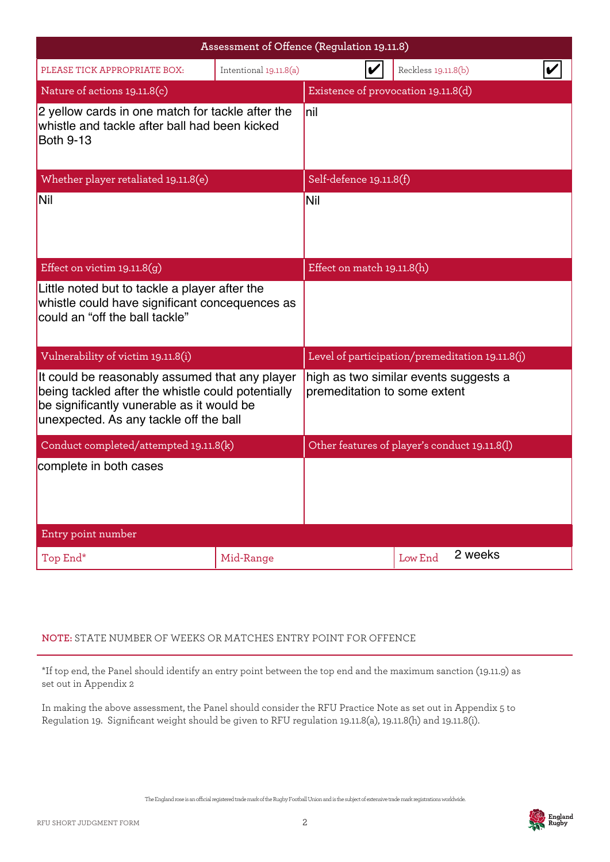|                                                                                                                                                                                            | Assessment of Offence (Regulation 19.11.8) |                                                 |  |                                                                       |  |  |
|--------------------------------------------------------------------------------------------------------------------------------------------------------------------------------------------|--------------------------------------------|-------------------------------------------------|--|-----------------------------------------------------------------------|--|--|
| PLEASE TICK APPROPRIATE BOX:                                                                                                                                                               | Intentional 19.11.8(a)                     |                                                 |  | Reckless 19.11.8(b)                                                   |  |  |
| Nature of actions 19.11.8(c)                                                                                                                                                               |                                            |                                                 |  | Existence of provocation 19.11.8(d)                                   |  |  |
| 2 yellow cards in one match for tackle after the<br>whistle and tackle after ball had been kicked<br><b>Both 9-13</b>                                                                      |                                            | Inil                                            |  |                                                                       |  |  |
| Whether player retaliated 19.11.8(e)                                                                                                                                                       |                                            | Self-defence 19.11.8(f)                         |  |                                                                       |  |  |
| Nil                                                                                                                                                                                        |                                            | <b>Nil</b>                                      |  |                                                                       |  |  |
| Effect on victim $19.11.8(g)$                                                                                                                                                              |                                            | Effect on match 19.11.8(h)                      |  |                                                                       |  |  |
| Little noted but to tackle a player after the<br>whistle could have significant concequences as<br>could an "off the ball tackle"                                                          |                                            |                                                 |  |                                                                       |  |  |
| Vulnerability of victim 19.11.8(i)                                                                                                                                                         |                                            | Level of participation/premeditation 19.11.8(j) |  |                                                                       |  |  |
| It could be reasonably assumed that any player<br>being tackled after the whistle could potentially<br>be significantly vunerable as it would be<br>unexpected. As any tackle off the ball |                                            |                                                 |  | high as two similar events suggests a<br>premeditation to some extent |  |  |
| Conduct completed/attempted 19.11.8(k)                                                                                                                                                     |                                            |                                                 |  | Other features of player's conduct 19.11.8(l)                         |  |  |
| complete in both cases                                                                                                                                                                     |                                            |                                                 |  |                                                                       |  |  |
| Entry point number                                                                                                                                                                         |                                            |                                                 |  |                                                                       |  |  |
| Top End*                                                                                                                                                                                   | Mid-Range                                  |                                                 |  | 2 weeks<br>Low End                                                    |  |  |

## **NOTE:** STATE NUMBER OF WEEKS OR MATCHES ENTRY POINT FOR OFFENCE

\*If top end, the Panel should identify an entry point between the top end and the maximum sanction (19.11.9) as set out in Appendix 2

In making the above assessment, the Panel should consider the RFU Practice Note as set out in Appendix 5 to Regulation 19. Significant weight should be given to RFU regulation 19.11.8(a), 19.11.8(h) and 19.11.8(i).

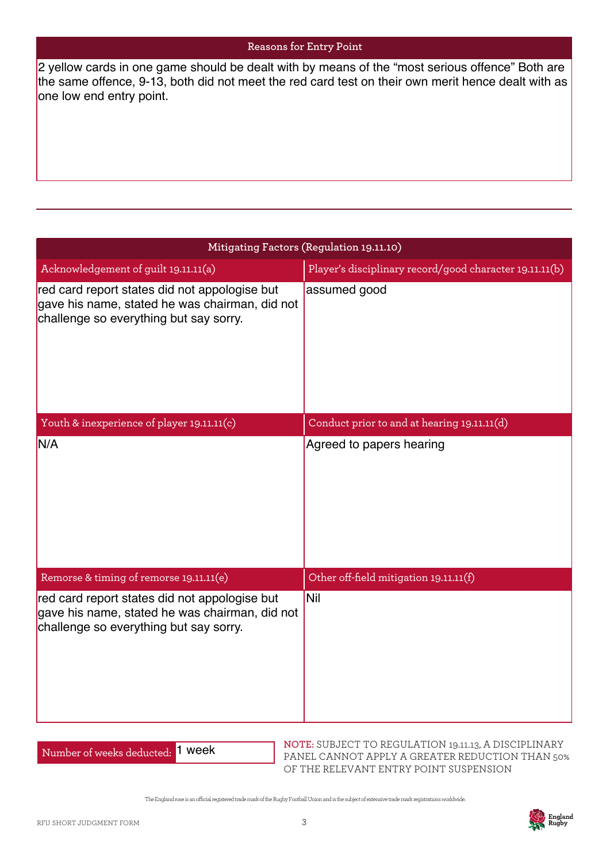the same offence, 9-13, both did not meet the red card test on their own merit hence dealt with as one low end entry point.

| 2 yellow cards in one game should be dealt with by means of the "most serious offence" Both are<br>the same offence, 9-13, both did not meet the red card test on their own merit hence dealt with as<br>one low end entry point. |                                                                         |  |  |
|-----------------------------------------------------------------------------------------------------------------------------------------------------------------------------------------------------------------------------------|-------------------------------------------------------------------------|--|--|
|                                                                                                                                                                                                                                   |                                                                         |  |  |
|                                                                                                                                                                                                                                   |                                                                         |  |  |
|                                                                                                                                                                                                                                   | Mitigating Factors (Regulation 19.11.10)                                |  |  |
| Acknowledgement of guilt 19.11.11(a)<br>red card report states did not appologise but<br>gave his name, stated he was chairman, did not<br>challenge so everything but say sorry.                                                 | Player's disciplinary record/good character 19.11.11(b)<br>assumed good |  |  |
| Youth & inexperience of player 19.11.11(c)                                                                                                                                                                                        | Conduct prior to and at hearing 19.11.11(d)                             |  |  |
| N/A                                                                                                                                                                                                                               | Agreed to papers hearing                                                |  |  |
| Remorse & timing of remorse 19.11.11(e)                                                                                                                                                                                           | Other off-field mitigation 19.11.11(f)                                  |  |  |
| red card report states did not appologise but<br>gave his name, stated he was chairman, did not<br>challenge so everything but say sorry.                                                                                         | <b>Nil</b>                                                              |  |  |

Number of weeks deducted: 1 week

**NOTE:** SUBJECT TO REGULATION 19.11.13, A DISCIPLINARY PANEL CANNOT APPLY A GREATER REDUCTION THAN 50% OF THE RELEVANT ENTRY POINT SUSPENSION

The England rose is an ocial registered trade mark of the Rugby Football Union and is the subject of extensive trade mark registrations worldwide.